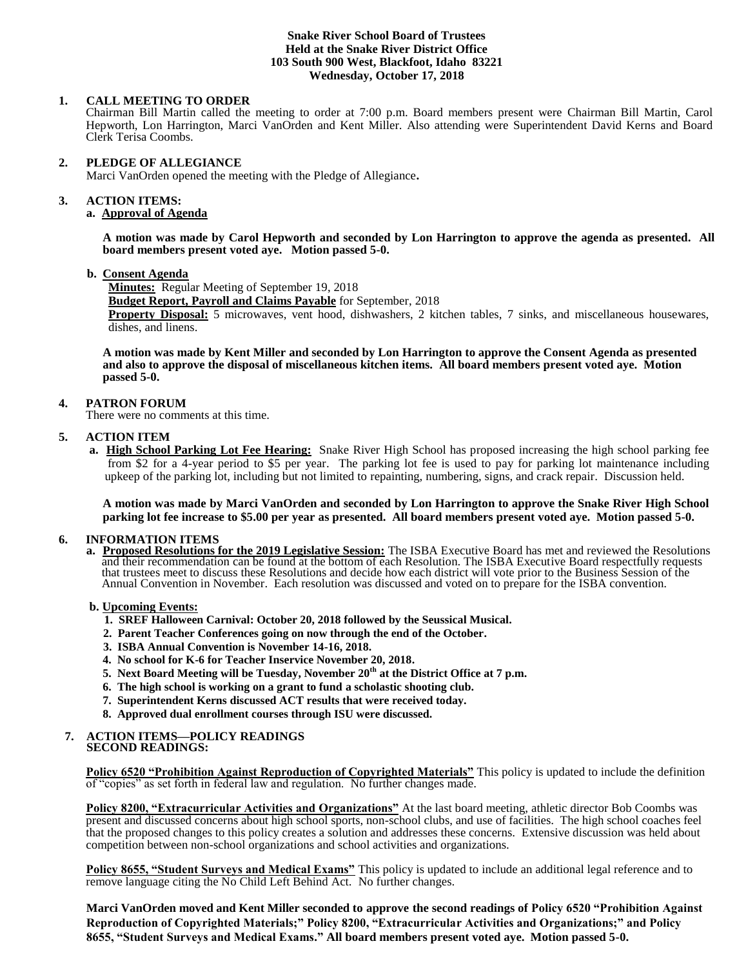#### **Snake River School Board of Trustees Held at the Snake River District Office 103 South 900 West, Blackfoot, Idaho 83221 Wednesday, October 17, 2018**

#### **1. CALL MEETING TO ORDER**

Chairman Bill Martin called the meeting to order at 7:00 p.m. Board members present were Chairman Bill Martin, Carol Hepworth, Lon Harrington, Marci VanOrden and Kent Miller. Also attending were Superintendent David Kerns and Board Clerk Terisa Coombs.

#### **2. PLEDGE OF ALLEGIANCE**

Marci VanOrden opened the meeting with the Pledge of Allegiance**.** 

#### 3. **3. ACTION ITEMS:**

# **a. Approval of Agenda**

**A motion was made by Carol Hepworth and seconded by Lon Harrington to approve the agenda as presented. All board members present voted aye. Motion passed 5-0.**

#### **b. Consent Agenda**

**Minutes:** Regular Meeting of September 19, 2018 **Budget Report, Payroll and Claims Payable** for September, 2018 **Property Disposal:** 5 microwaves, vent hood, dishwashers, 2 kitchen tables, 7 sinks, and miscellaneous housewares, dishes, and linens.

**A motion was made by Kent Miller and seconded by Lon Harrington to approve the Consent Agenda as presented and also to approve the disposal of miscellaneous kitchen items. All board members present voted aye. Motion passed 5-0.** 

## **4. PATRON FORUM**

There were no comments at this time.

## **5. ACTION ITEM**

 **a. High School Parking Lot Fee Hearing:** Snake River High School has proposed increasing the high school parking fee from \$2 for a 4-year period to \$5 per year. The parking lot fee is used to pay for parking lot maintenance including upkeep of the parking lot, including but not limited to repainting, numbering, signs, and crack repair. Discussion held.

**A motion was made by Marci VanOrden and seconded by Lon Harrington to approve the Snake River High School parking lot fee increase to \$5.00 per year as presented. All board members present voted aye. Motion passed 5-0.**

#### **6. INFORMATION ITEMS**

**a. Proposed Resolutions for the 2019 Legislative Session:** The ISBA Executive Board has met and reviewed the Resolutions and their recommendation can be found at the bottom of each Resolution. The ISBA Executive Board respectfully requests that trustees meet to discuss these Resolutions and decide how each district will vote prior to the Business Session of the Annual Convention in November. Each resolution was discussed and voted on to prepare for the ISBA convention.

#### **b. Upcoming Events:**

- **1. SREF Halloween Carnival: October 20, 2018 followed by the Seussical Musical.**
- **2. Parent Teacher Conferences going on now through the end of the October.**
- **3. ISBA Annual Convention is November 14-16, 2018.**
- **4. No school for K-6 for Teacher Inservice November 20, 2018.**
- **5. Next Board Meeting will be Tuesday, November 20th at the District Office at 7 p.m.**
- **6. The high school is working on a grant to fund a scholastic shooting club.**
- **7. Superintendent Kerns discussed ACT results that were received today.**
- **8. Approved dual enrollment courses through ISU were discussed.**

#### **7. ACTION ITEMS—POLICY READINGS SECOND READINGS:**

**Policy 6520 "Prohibition Against Reproduction of Copyrighted Materials"** This policy is updated to include the definition of "copies" as set forth in federal law and regulation. No further changes made.

**Policy 8200, "Extracurricular Activities and Organizations"** At the last board meeting, athletic director Bob Coombs was present and discussed concerns about high school sports, non-school clubs, and use of facilities. The high school coaches feel that the proposed changes to this policy creates a solution and addresses these concerns. Extensive discussion was held about competition between non-school organizations and school activities and organizations.

**Policy 8655, "Student Surveys and Medical Exams"** This policy is updated to include an additional legal reference and to remove language citing the No Child Left Behind Act. No further changes.

**Marci VanOrden moved and Kent Miller seconded to approve the second readings of Policy 6520 "Prohibition Against Reproduction of Copyrighted Materials;" Policy 8200, "Extracurricular Activities and Organizations;" and Policy 8655, "Student Surveys and Medical Exams." All board members present voted aye. Motion passed 5-0.**